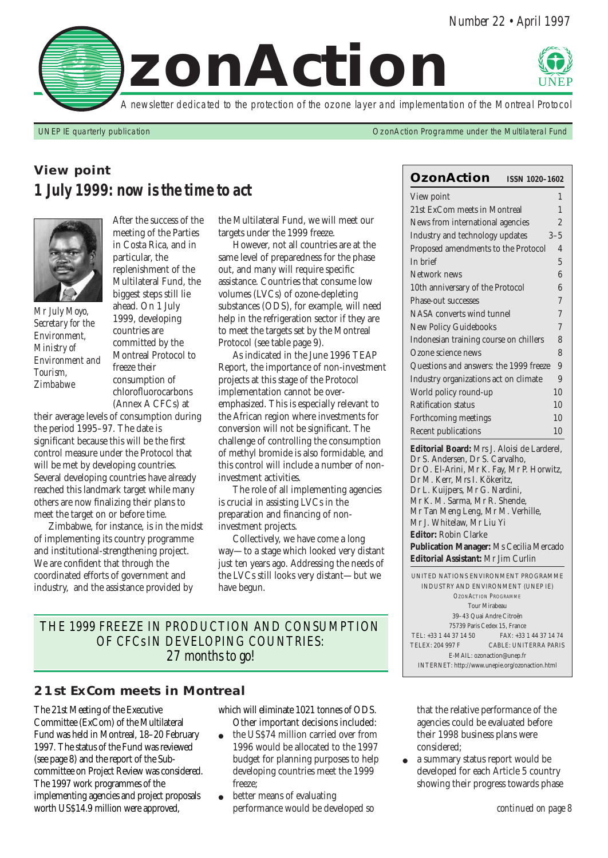

UNEP IE quarterly publication OzonAction Programme under the Multilateral Fund

Dr S. Andersen, Dr S. Carvalho, Dr O. El-Arini, Mr K. Fay, Mr P. Horwitz,

Dr M. Kerr, Mrs I. Kökeritz, Dr L. Kuijpers, Mr G. Nardini, Mr K. M. Sarma, Mr R. Shende, Mr Tan Meng Leng, Mr M. Verhille,

Mr J. Whitelaw, Mr Liu Yi **Editor:** Robin Clarke

**Publication Manager:** Ms Cecilia Mercado **Editorial Assistant:** Mr Jim Curlin

UNITED NATIONS ENVIRONMENT PROGRAMME INDUSTRY AND ENVIRONMENT (UNEP IE) *OZONACTION PROGRAMME* Tour Mirabeau 39–43 Quai Andre Citroën 75739 Paris Cedex 15, France TEL: +33 1 44 37 14 50 FAX: +33 1 44 37 14 74 TELEX: 204 997 F CABLE: UNITERRA PARIS E-MAIL: ozonaction@unep.fr INTERNET: http://www.unepie.org/ozonaction.html

**OzonAction ISSN 1020–1602** View point 1 21st ExCom meets in Montreal 1 News from international agencies 2 Industry and technology updates 3–5 Proposed amendments to the Protocol 4 In brief  $\overline{5}$ Network news 6 10th anniversary of the Protocol 6 Phase-out successes 7 NASA converts wind tunnel  $7$ New Policy Guidebooks 7 Indonesian training course on chillers 8 Ozone science news 8 Questions and answers: the 1999 freeze 9 Industry organizations act on climate 9 World policy round-up 10 Ratification status 10 Forthcoming meetings 10 Recent publications 10 **Editorial Board:** Mrs J. Aloisi de Larderel,

# **View point** *1 July 1999: now is the time to act*



*Mr July Moyo, Secretary for the Environment, Ministry of Environment and Tourism, Zimbabwe*

After the success of the meeting of the Parties in Costa Rica, and in particular, the replenishment of the Multilateral Fund, the biggest steps still lie ahead. On 1 July 1999, developing countries are committed by the Montreal Protocol to freeze their consumption of chlorofluorocarbons (Annex A CFCs) at

their average levels of consumption during the period 1995–97. The date is significant because this will be the first control measure under the Protocol that will be met by developing countries. Several developing countries have already reached this landmark target while many others are now finalizing their plans to meet the target on or before time.

Zimbabwe, for instance, is in the midst of implementing its country programme and institutional-strengthening project. We are confident that through the coordinated efforts of government and industry, and the assistance provided by

the Multilateral Fund, we will meet our targets under the 1999 freeze.

However, not all countries are at the same level of preparedness for the phase out, and many will require specific assistance. Countries that consume low volumes (LVCs) of ozone-depleting substances (ODS), for example, will need help in the refrigeration sector if they are to meet the targets set by the Montreal Protocol (see table page 9).

As indicated in the June 1996 TEAP Report, the importance of non-investment projects at this stage of the Protocol implementation cannot be overemphasized. This is especially relevant to the African region where investments for conversion will not be significant. The challenge of controlling the consumption of methyl bromide is also formidable, and this control will include a number of noninvestment activities.

The role of all implementing agencies is crucial in assisting LVCs in the preparation and financing of noninvestment projects.

Collectively, we have come a long way—to a stage which looked very distant just ten years ago. Addressing the needs of the LVCs still looks very distant—but we have begun.

*THE 1999 FREEZE IN PRODUCTION AND CONSUMPTION OF CFCs IN DEVELOPING COUNTRIES: 27 months to go!* 

### **21st ExCom meets in Montreal**

The 21st Meeting of the Executive Committee (ExCom) of the Multilateral Fund was held in Montreal, 18–20 February 1997. The status of the Fund was reviewed (see page 8) and the report of the Subcommittee on Project Review was considered. The 1997 work programmes of the implementing agencies and project proposals worth US\$14.9 million were approved,

which will eliminate 1021 tonnes of ODS. Other important decisions included:

- the US\$74 million carried over from 1996 would be allocated to the 1997 budget for planning purposes to help developing countries meet the 1999 freeze;
- better means of evaluating performance would be developed so

that the relative performance of the agencies could be evaluated before their 1998 business plans were considered;

● a summary status report would be developed for each Article 5 country showing their progress towards phase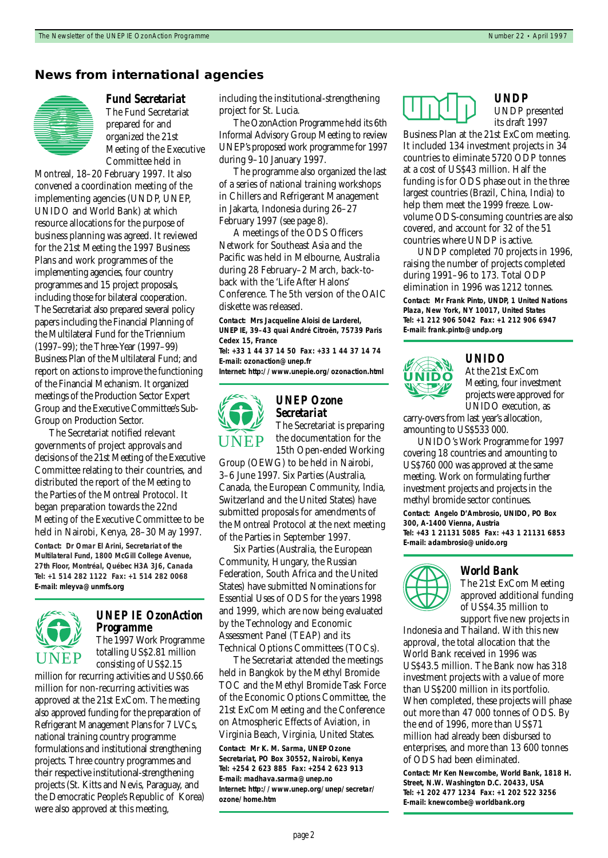#### **News from international agencies**



*Fund Secretariat* The Fund Secretariat prepared for and organized the 21st Meeting of the Executive Committee held in

Montreal, 18–20 February 1997. It also convened a coordination meeting of the implementing agencies (UNDP, UNEP, UNIDO and World Bank) at which resource allocations for the purpose of business planning was agreed. It reviewed for the 21st Meeting the 1997 Business Plans and work programmes of the implementing agencies, four country programmes and 15 project proposals, including those for bilateral cooperation. The Secretariat also prepared several policy papers including the Financial Planning of the Multilateral Fund for the Triennium (1997–99); the Three-Year (1997–99) Business Plan of the Multilateral Fund; and report on actions to improve the functioning of the Financial Mechanism. It organized meetings of the Production Sector Expert Group and the Executive Committee's Sub-Group on Production Sector.

The Secretariat notified relevant governments of project approvals and decisions of the 21st Meeting of the Executive Committee relating to their countries, and distributed the report of the Meeting to the Parties of the Montreal Protocol. It began preparation towards the 22nd Meeting of the Executive Committee to be held in Nairobi, Kenya, 28–30 May 1997. **Contact: Dr Omar El Arini, Secretariat of the Multilateral Fund, 1800 McGill College Avenue, 27th Floor, Montréal, Québec H3A 3J6, Canada Tel: +1 514 282 1122 Fax: +1 514 282 0068 E-mail: mleyva@unmfs.org**



# *UNEP IE OzonAction Programme*

The 1997 Work Programme totalling US\$2.81 million consisting of US\$2.15

million for recurring activities and US\$0.66 million for non-recurring activities was approved at the 21st ExCom. The meeting also approved funding for the preparation of Refrigerant Management Plans for 7 LVCs, national training country programme formulations and institutional strengthening projects. Three country programmes and their respective institutional-strengthening projects (St. Kitts and Nevis, Paraguay, and the Democratic People's Republic of Korea) were also approved at this meeting,

including the institutional-strengthening project for St. Lucia.

The OzonAction Programme held its 6th Informal Advisory Group Meeting to review UNEP's proposed work programme for 1997 during 9–10 January 1997.

The programme also organized the last of a series of national training workshops in Chillers and Refrigerant Management in Jakarta, Indonesia during 26–27 February 1997 (see page 8).

A meetings of the ODS Officers Network for Southeast Asia and the Pacific was held in Melbourne, Australia during 28 February–2 March, back-toback with the 'Life After Halons' Conference. The 5th version of the OAIC diskette was released.

**Contact: Mrs Jacqueline Aloisi de Larderel, UNEP IE, 39–43 quai André Citroën, 75739 Paris Cedex 15, France**

**Tel: +33 1 44 37 14 50 Fax: +33 1 44 37 14 74 E-mail: ozonaction@unep.fr**

**Internet: http://www.unepie.org/ozonaction.html**



#### *UNEP Ozone Secretariat* The Secretariat is preparing

the documentation for the 15th Open-ended Working

Group (OEWG) to be held in Nairobi, 3–6 June 1997. Six Parties (Australia, Canada, the European Community, lndia, Switzerland and the United States) have submitted proposals for amendments of the Montreal Protocol at the next meeting of the Parties in September 1997.

Six Parties (Australia, the European Community, Hungary, the Russian Federation, South Africa and the United States) have submitted Nominations for Essential Uses of ODS for the years 1998 and 1999, which are now being evaluated by the Technology and Economic Assessment Panel (TEAP) and its Technical Options Committees (TOCs).

The Secretariat attended the meetings held in Bangkok by the Methyl Bromide TOC and the Methyl Bromide Task Force of the Economic Options Committee, the 21st ExCom Meeting and the Conference on Atmospheric Effects of Aviation, in Virginia Beach, Virginia, United States. **Contact: Mr K. M. Sarma, UNEP Ozone Secretariat, PO Box 30552, Nairobi, Kenya Tel: +254 2 623 885 Fax: +254 2 623 913 E-mail: madhava.sarma@unep.no Internet: http://www.unep.org/unep/secretar/ ozone/home.htm**

*UNDP* UNDP presented its draft 1997

Business Plan at the 21st ExCom meeting. It included 134 investment projects in 34 countries to eliminate 5720 ODP tonnes at a cost of US\$43 million. Half the funding is for ODS phase out in the three largest countries (Brazil, China, India) to help them meet the 1999 freeze. Lowvolume ODS-consuming countries are also covered, and account for 32 of the 51 countries where UNDP is active.

UNDP completed 70 projects in 1996, raising the number of projects completed during 1991–96 to 173. Total ODP elimination in 1996 was 1212 tonnes.

**Contact: Mr Frank Pinto, UNDP, 1 United Nations Plaza, New York, NY 10017, United States Tel: +1 212 906 5042 Fax: +1 212 906 6947 E-mail: frank.pinto@undp.org**



#### *UNIDO*

At the 21st ExCom Meeting, four investment projects were approved for UNIDO execution, as

carry-overs from last year's allocation, amounting to US\$533 000.

UNIDO's Work Programme for 1997 covering 18 countries and amounting to US\$760 000 was approved at the same meeting. Work on formulating further investment projects and projects in the methyl bromide sector continues. **Contact: Angelo D'Ambrosio, UNIDO, PO Box 300, A-1400 Vienna, Austria Tel: +43 1 21131 5085 Fax: +43 1 21131 6853 E-mail: adambrosio@unido.org**



#### *World Bank*

The 21st ExCom Meeting approved additional funding of US\$4.35 million to support five new projects in

Indonesia and Thailand. With this new approval, the total allocation that the World Bank received in 1996 was US\$43.5 million. The Bank now has 318 investment projects with a value of more than US\$200 million in its portfolio. When completed, these projects will phase out more than 47 000 tonnes of ODS. By the end of 1996, more than US\$71 million had already been disbursed to enterprises, and more than 13 600 tonnes of ODS had been eliminated.

**Contact: Mr Ken Newcombe, World Bank, 1818 H. Street, N.W. Washington D.C. 20433, USA Tel: +1 202 477 1234 Fax: +1 202 522 3256 E-mail: knewcombe@worldbank.org**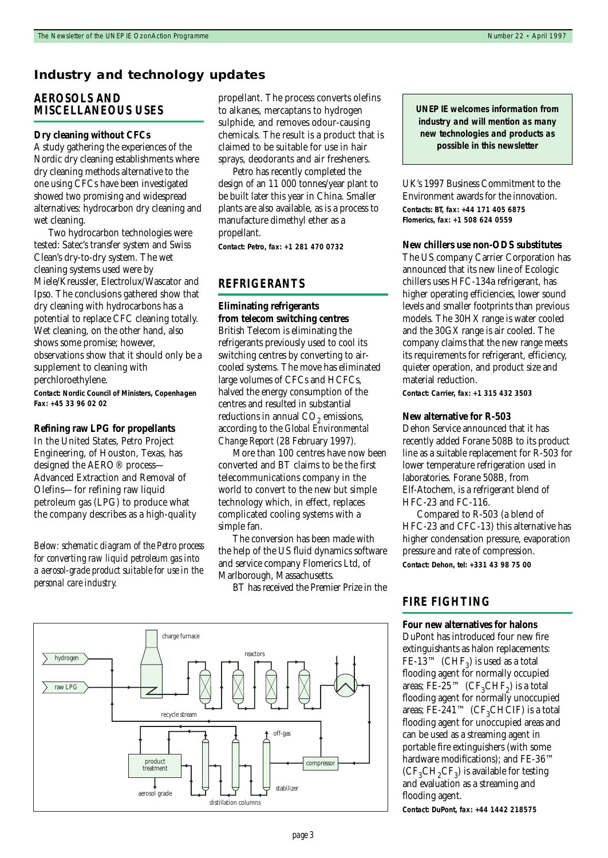#### **Industry and technology updates**

#### *AEROSOLS AND MISCELLANEOUS USES*

#### **Dry cleaning without CFCs**

A study gathering the experiences of the Nordic dry cleaning establishments where dry cleaning methods alternative to the one using CFCs have been investigated showed two promising and widespread alternatives: hydrocarbon dry cleaning and wet cleaning.

Two hydrocarbon technologies were tested: Satec's transfer system and Swiss Clean's dry-to-dry system. The wet cleaning systems used were by Miele/Kreussler, Electrolux/Wascator and Ipso. The conclusions gathered show that dry cleaning with hydrocarbons has a potential to replace CFC cleaning totally. Wet cleaning, on the other hand, also shows some promise; however, observations show that it should only be a supplement to cleaning with perchloroethylene.

**Contact: Nordic Council of Ministers, Copenhagen Fax: +45 33 96 02 02**

#### **Refining raw LPG for propellants**

In the United States, Petro Project Engineering, of Houston, Texas, has designed the AERO® process— Advanced Extraction and Removal of Olefins—for refining raw liquid petroleum gas (LPG) to produce what the company describes as a high-quality

*Below: schematic diagram of the Petro process for converting raw liquid petroleum gas into a aerosol-grade product suitable for use in the personal care industry.*

propellant. The process converts olefins to alkanes, mercaptans to hydrogen sulphide, and removes odour-causing chemicals. The result is a product that is claimed to be suitable for use in hair sprays, deodorants and air fresheners.

Petro has recently completed the design of an 11 000 tonnes/year plant to be built later this year in China. Smaller plants are also available, as is a process to manufacture dimethyl ether as a propellant.

**Contact: Petro, fax: +1 281 470 0732**

#### *REFRIGERANTS*

#### **Eliminating refrigerants from telecom switching centres**

British Telecom is eliminating the refrigerants previously used to cool its switching centres by converting to aircooled systems. The move has eliminated large volumes of CFCs and HCFCs, halved the energy consumption of the centres and resulted in substantial reductions in annual  $CO<sub>2</sub>$  emissions, according to the *Global Environmental Change Report* (28 February 1997)*.* 

More than 100 centres have now been converted and BT claims to be the first telecommunications company in the world to convert to the new but simple technology which, in effect, replaces complicated cooling systems with a simple fan.

The conversion has been made with the help of the US fluid dynamics software and service company Flomerics Ltd, of Marlborough, Massachusetts.

BT has received the Premier Prize in the



**UNEP IE welcomes information from industry and will mention as many new technologies and products as possible in this newsletter**

UK's 1997 Business Commitment to the Environment awards for the innovation. **Contacts: BT, fax: +44 171 405 6875 Flomerics, fax: +1 508 624 0559**

#### **New chillers use non-ODS substitutes**

The US company Carrier Corporation has announced that its new line of Ecologic chillers uses HFC-134a refrigerant, has higher operating efficiencies, lower sound levels and smaller footprints than previous models. The 30HX range is water cooled and the 30GX range is air cooled. The company claims that the new range meets its requirements for refrigerant, efficiency, quieter operation, and product size and material reduction.

**Contact: Carrier, fax: +1 315 432 3503**

#### **New alternative for R-503**

Dehon Service announced that it has recently added Forane 508B to its product line as a suitable replacement for R-503 for lower temperature refrigeration used in laboratories. Forane 508B, from Elf-Atochem, is a refrigerant blend of HFC-23 and FC-116.

Compared to R-503 (a blend of HFC-23 and CFC-13) this alternative has higher condensation pressure, evaporation pressure and rate of compression. **Contact: Dehon, tel: +331 43 98 75 00**

#### *FIRE FIGHTING*

#### **Four new alternatives for halons**

DuPont has introduced four new fire extinguishants as halon replacements: FE-13<sup>™</sup> (CHF<sub>3</sub>) is used as a total flooding agent for normally occupied areas; FE-25<sup>TM</sup> (CF<sub>3</sub>CHF<sub>2</sub>) is a total flooding agent for normally unoccupied areas; FE-241<sup>™</sup> (CF<sub>3</sub>CHCIF) is a total flooding agent for unoccupied areas and can be used as a streaming agent in portable fire extinguishers (with some hardware modifications); and FE-36<sup>™</sup>  $(CF<sub>3</sub>CH<sub>2</sub>CF<sub>3</sub>)$  is available for testing and evaluation as a streaming and flooding agent.

**Contact: DuPont, fax: +44 1442 218575**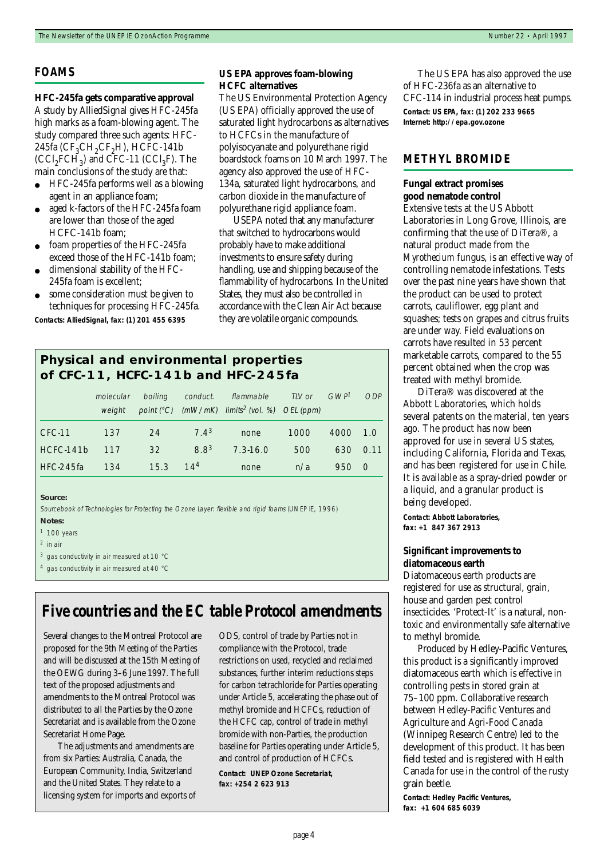#### *FOAMS*

#### **HFC-245fa gets comparative approval** A study by AlliedSignal gives HFC-245fa high marks as a foam-blowing agent. The study compared three such agents: HFC-245fa ( $CF<sub>3</sub>CH<sub>2</sub>CF<sub>2</sub>H$ ), HCFC-141b  $(CCl<sub>2</sub>FCH<sub>3</sub>)$  and CFC-11  $(CCl<sub>3</sub>F)$ . The main conclusions of the study are that:

- HFC-245fa performs well as a blowing agent in an appliance foam;
- aged k-factors of the HFC-245fa foam are lower than those of the aged HCFC-141b foam;
- foam properties of the HFC-245fa exceed those of the HFC-141b foam;
- dimensional stability of the HFC-245fa foam is excellent;
- some consideration must be given to techniques for processing HFC-245fa.

**Contacts: AlliedSignal, fax: (1) 201 455 6395**

#### **US EPA approves foam-blowing HCFC alternatives**

The US Environmental Protection Agency (US EPA) officially approved the use of saturated light hydrocarbons as alternatives to HCFCs in the manufacture of polyisocyanate and polyurethane rigid boardstock foams on 10 March 1997. The agency also approved the use of HFC-134a, saturated light hydrocarbons, and carbon dioxide in the manufacture of polyurethane rigid appliance foam.

USEPA noted that any manufacturer that switched to hydrocarbons would probably have to make additional investments to ensure safety during handling, use and shipping because of the flammability of hydrocarbons. In the United States, they must also be controlled in accordance with the Clean Air Act because they are volatile organic compounds.

### **Physical and environmental properties of CFC-11, HCFC-141b and HFC-245fa**

|             | molecular<br>weight | boiling | conduct.         | flammable<br>point $(^{\circ}C)$ (mW/mK) limits <sup>2</sup> (vol. %) OEL (ppm) | TLV or | GWP <sup>7</sup> | ODP          |
|-------------|---------------------|---------|------------------|---------------------------------------------------------------------------------|--------|------------------|--------------|
| CFC-11      | 137                 | 24      | 7.4 <sup>3</sup> | none                                                                            | 1000   | 4000             | 1.0          |
| HCFC-141b   | 117                 | 32      | 8.8 <sup>3</sup> | $7.3 - 16.0$                                                                    | 500    | 630              | 0.11         |
| $HEC-245fa$ | 134                 | 15.3    | 14 <sup>4</sup>  | none                                                                            | n/a    | 950              | <sup>O</sup> |

#### **Source:**

Sourcebook of Technologies for Protecting the Ozone Layer: flexible and rigid foams (UNEP IE, 1996)

#### **Notes:**

2 in air

# *Five countries and the EC table Protocol amendments*

Several changes to the Montreal Protocol are proposed for the 9th Meeting of the Parties and will be discussed at the 15th Meeting of the OEWG during 3–6 June 1997. The full text of the proposed adjustments and amendments to the Montreal Protocol was distributed to all the Parties by the Ozone Secretariat and is available from the Ozone Secretariat Home Page.

The adjustments and amendments are from six Parties: Australia, Canada, the European Community, India, Switzerland and the United States. They relate to a licensing system for imports and exports of ODS, control of trade by Parties not in compliance with the Protocol, trade restrictions on used, recycled and reclaimed substances, further interim reductions steps for carbon tetrachloride for Parties operating under Article 5, accelerating the phase out of methyl bromide and HCFCs, reduction of the HCFC cap, control of trade in methyl bromide with non-Parties, the production baseline for Parties operating under Article 5, and control of production of HCFCs.

**Contact: UNEP Ozone Secretariat, fax: +254 2 623 913** 

The US EPA has also approved the use of HFC-236fa as an alternative to CFC-114 in industrial process heat pumps. **Contact: US EPA, fax: (1) 202 233 9665 Internet: http://epa.gov.ozone**

#### *METHYL BROMIDE*

#### **Fungal extract promises good nematode control**

Extensive tests at the US Abbott Laboratories in Long Grove, Illinois, are confirming that the use of DiTera®, a natural product made from the *Myrothecium* fungus, is an effective way of controlling nematode infestations. Tests over the past nine years have shown that the product can be used to protect carrots, cauliflower, egg plant and squashes; tests on grapes and citrus fruits are under way. Field evaluations on carrots have resulted in 53 percent marketable carrots, compared to the 55 percent obtained when the crop was treated with methyl bromide.

DiTera® was discovered at the Abbott Laboratories, which holds several patents on the material, ten years ago. The product has now been approved for use in several US states, including California, Florida and Texas, and has been registered for use in Chile. It is available as a spray-dried powder or a liquid, and a granular product is being developed.

**Contact: Abbott Laboratories, fax: +1 847 367 2913**

#### **Significant improvements to diatomaceous earth**

Diatomaceous earth products are registered for use as structural, grain, house and garden pest control insecticides. 'Protect-It' is a natural, nontoxic and environmentally safe alternative to methyl bromide.

Produced by Hedley-Pacific Ventures, this product is a significantly improved diatomaceous earth which is effective in controlling pests in stored grain at 75–100 ppm. Collaborative research between Hedley-Pacific Ventures and Agriculture and Agri-Food Canada (Winnipeg Research Centre) led to the development of this product. It has been field tested and is registered with Health Canada for use in the control of the rusty grain beetle.

**Contact: Hedley Pacific Ventures, fax: +1 604 685 6039**

 $1$  100 years

<sup>3</sup> gas conductivity in air measured at 10 °C

<sup>4</sup> gas conductivity in air measured at 40 °C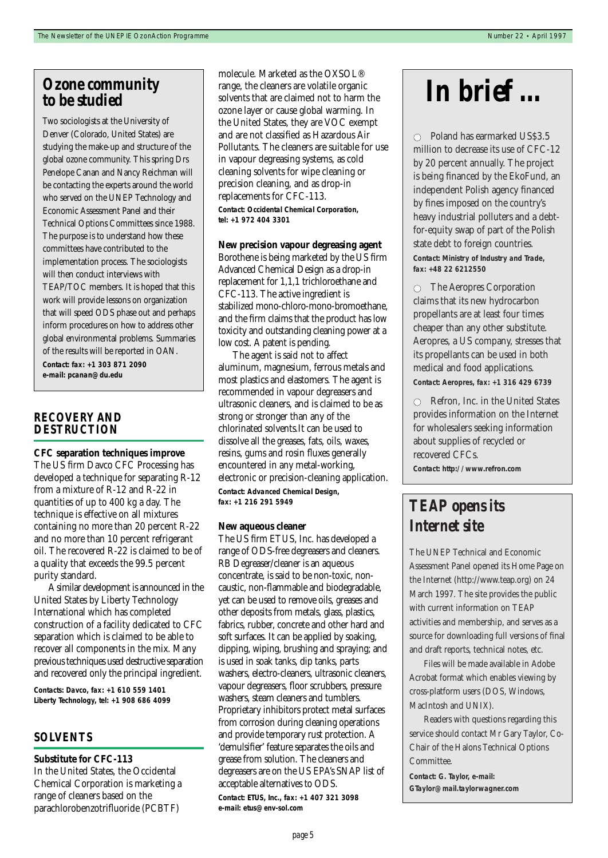# *Ozone community to be studied*

Two sociologists at the University of Denver (Colorado, United States) are studying the make-up and structure of the global ozone community. This spring Drs Penelope Canan and Nancy Reichman will be contacting the experts around the world who served on the UNEP Technology and Economic Assessment Panel and their Technical Options Committees since 1988. The purpose is to understand how these committees have contributed to the implementation process. The sociologists will then conduct interviews with TEAP/TOC members. It is hoped that this work will provide lessons on organization that will speed ODS phase out and perhaps inform procedures on how to address other global environmental problems. Summaries of the results will be reported in OAN. **Contact: fax: +1 303 871 2090 e-mail: pcanan@du.edu**

#### *RECOVERY AND DESTRUCTION*

#### **CFC separation techniques improve**

The US firm Davco CFC Processing has developed a technique for separating R-12 from a mixture of R-12 and R-22 in quantities of up to 400 kg a day. The technique is effective on all mixtures containing no more than 20 percent R-22 and no more than 10 percent refrigerant oil. The recovered R-22 is claimed to be of a quality that exceeds the 99.5 percent purity standard.

A similar development is announced in the United States by Liberty Technology International which has completed construction of a facility dedicated to CFC separation which is claimed to be able to recover all components in the mix. Many previous techniques used destructive separation and recovered only the principal ingredient.

**Contacts: Davco, fax: +1 610 559 1401 Liberty Technology, tel: +1 908 686 4099**

#### *SOLVENTS*

#### **Substitute for CFC-113**

In the United States, the Occidental Chemical Corporation is marketing a range of cleaners based on the parachlorobenzotrifluoride (PCBTF)

molecule. Marketed as the OXSOL® range, the cleaners are volatile organic solvents that are claimed not to harm the ozone layer or cause global warming. In the United States, they are VOC exempt and are not classified as Hazardous Air Pollutants. The cleaners are suitable for use in vapour degreasing systems, as cold cleaning solvents for wipe cleaning or precision cleaning, and as drop-in replacements for CFC-113. **Contact: Occidental Chemical Corporation, tel: +1 972 404 3301**

#### **New precision vapour degreasing agent**

Borothene is being marketed by the US firm Advanced Chemical Design as a drop-in replacement for 1,1,1 trichloroethane and CFC-113. The active ingredient is stabilized mono-chloro-mono-bromoethane, and the firm claims that the product has low toxicity and outstanding cleaning power at a low cost. A patent is pending.

The agent is said not to affect aluminum, magnesium, ferrous metals and most plastics and elastomers. The agent is recommended in vapour degreasers and ultrasonic cleaners, and is claimed to be as strong or stronger than any of the chlorinated solvents.It can be used to dissolve all the greases, fats, oils, waxes, resins, gums and rosin fluxes generally encountered in any metal-working, electronic or precision-cleaning application. **Contact: Advanced Chemical Design, fax: +1 216 291 5949**

#### **New aqueous cleaner**

The US firm ETUS, Inc. has developed a range of ODS-free degreasers and cleaners. RB Degreaser/cleaner is an aqueous concentrate, is said to be non-toxic, noncaustic, non-flammable and biodegradable, yet can be used to remove oils, greases and other deposits from metals, glass, plastics, fabrics, rubber, concrete and other hard and soft surfaces. It can be applied by soaking, dipping, wiping, brushing and spraying; and is used in soak tanks, dip tanks, parts washers, electro-cleaners, ultrasonic cleaners, vapour degreasers, floor scrubbers, pressure washers, steam cleaners and tumblers. Proprietary inhibitors protect metal surfaces from corrosion during cleaning operations and provide temporary rust protection. A 'demulsifier' feature separates the oils and grease from solution. The cleaners and degreasers are on the US EPA's SNAP list of acceptable alternatives to ODS. **Contact: ETUS, Inc., fax: +1 407 321 3098 e-mail: etus@env-sol.com**

# *In brief …*

 $\circ$  Poland has earmarked US\$3.5 million to decrease its use of CFC-12 by 20 percent annually. The project is being financed by the EkoFund, an independent Polish agency financed by fines imposed on the country's heavy industrial polluters and a debtfor-equity swap of part of the Polish state debt to foreign countries. **Contact: Ministry of Industry and Trade, fax: +48 22 6212550** 

 $\circ$  The Aeropres Corporation claims that its new hydrocarbon propellants are at least four times cheaper than any other substitute. Aeropres, a US company, stresses that its propellants can be used in both medical and food applications. **Contact: Aeropres, fax: +1 316 429 6739**

 $\circ$  Refron, Inc. in the United States provides information on the Internet for wholesalers seeking information about supplies of recycled or recovered CFCs.

**Contact: http://www.refron.com**

# *TEAP opens its Internet site*

The UNEP Technical and Economic Assessment Panel opened its Home Page on the Internet (http://www.teap.org) on 24 March 1997. The site provides the public with current information on TEAP activities and membership, and serves as a source for downloading full versions of final and draft reports, technical notes, etc.

Files will be made available in Adobe Acrobat format which enables viewing by cross-platform users (DOS, Windows, MacIntosh and UNIX).

Readers with questions regarding this service should contact Mr Gary Taylor, Co-Chair of the Halons Technical Options Committee.

**Contact: G. Taylor, e-mail: GTaylor@mail.taylorwagner.com**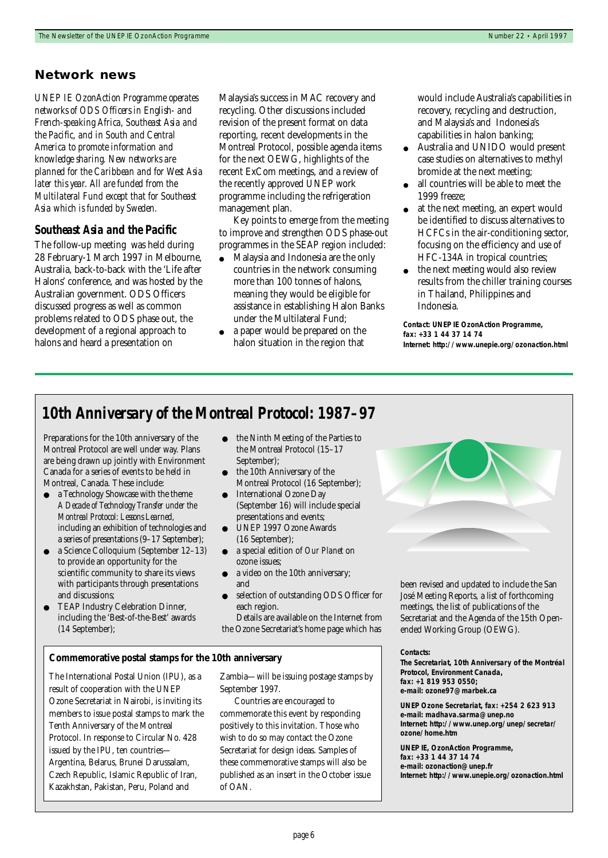#### **Network news**

*UNEP IE OzonAction Programme operates networks of ODS Officers in English- and French-speaking Africa, Southeast Asia and the Pacific, and in South and Central America to promote information and knowledge sharing. New networks are planned for the Caribbean and for West Asia later this year. All are funded from the Multilateral Fund except that for Southeast Asia which is funded by Sweden.*

#### *Southeast Asia and the Pacific*

The follow-up meeting was held during 28 February-1 March 1997 in Melbourne, Australia, back-to-back with the 'Life after Halons' conference, and was hosted by the Australian government. ODS Officers discussed progress as well as common problems related to ODS phase out, the development of a regional approach to halons and heard a presentation on

Malaysia's success in MAC recovery and recycling. Other discussions included revision of the present format on data reporting, recent developments in the Montreal Protocol, possible agenda items for the next OEWG, highlights of the recent ExCom meetings, and a review of the recently approved UNEP work programme including the refrigeration management plan.

Key points to emerge from the meeting to improve and strengthen ODS phase-out programmes in the SEAP region included:

- Malaysia and Indonesia are the only countries in the network consuming more than 100 tonnes of halons, meaning they would be eligible for assistance in establishing Halon Banks under the Multilateral Fund;
- a paper would be prepared on the halon situation in the region that

would include Australia's capabilities in recovery, recycling and destruction, and Malaysia's and Indonesia's capabilities in halon banking;

- Australia and UNIDO would present case studies on alternatives to methyl bromide at the next meeting;
- all countries will be able to meet the 1999 freeze;
- at the next meeting, an expert would be identified to discuss alternatives to HCFCs in the air-conditioning sector, focusing on the efficiency and use of HFC-134A in tropical countries;
- the next meeting would also review results from the chiller training courses in Thailand, Philippines and Indonesia.

**Contact: UNEP IE OzonAction Programme, fax: +33 1 44 37 14 74 Internet: http://www.unepie.org/ozonaction.html**

# *10th Anniversary of the Montreal Protocol: 1987–97*

Preparations for the 10th anniversary of the Montreal Protocol are well under way. Plans are being drawn up jointly with Environment Canada for a series of events to be held in Montreal, Canada. These include:

- a Technology Showcase with the theme *A Decade of Technology Transfer under the Montreal Protocol: Lessons Learned,* including an exhibition of technologies and a series of presentations (9–17 September);
- a Science Colloquium (September 12–13) to provide an opportunity for the scientific community to share its views with participants through presentations and discussions;
- TEAP Industry Celebration Dinner, including the 'Best-of-the-Best' awards (14 September);
- the Ninth Meeting of the Parties to the Montreal Protocol (15–17 September);
- the 10th Anniversary of the Montreal Protocol (16 September);
- **International Ozone Day** (September 16) will include special presentations and events;
- UNEP 1997 Ozone Awards (16 September);
- a special edition of *Our Planet* on ozone issues;
- a video on the 10th anniversary; and
- selection of outstanding ODS Officer for each region.
- Details are available on the Internet from
- the Ozone Secretariat's home page which has

#### **Commemorative postal stamps for the 10th anniversary**

The International Postal Union (IPU), as a result of cooperation with the UNEP Ozone Secretariat in Nairobi, is inviting its members to issue postal stamps to mark the Tenth Anniversary of the Montreal Protocol. In response to Circular No. 428 issued by the IPU, ten countries— Argentina, Belarus, Brunei Darussalam, Czech Republic, Islamic Republic of Iran, Kazakhstan, Pakistan, Peru, Poland and

Zambia—will be issuing postage stamps by September 1997.

Countries are encouraged to commemorate this event by responding positively to this invitation. Those who wish to do so may contact the Ozone Secretariat for design ideas. Samples of these commemorative stamps will also be published as an insert in the October issue of OAN.

been revised and updated to include the San José Meeting Reports, a list of forthcoming meetings, the list of publications of the Secretariat and the Agenda of the 15th Openended Working Group (OEWG).

#### **Contacts:**

**The Secretariat, 10th Anniversary of the Montréal Protocol, Environment Canada, fax: +1 819 953 0550; e-mail: ozone97@marbek.ca**

**UNEP Ozone Secretariat, fax: +254 2 623 913 e-mail: madhava.sarma@unep.no Internet: http://www.unep.org/unep/secretar/ ozone/home.htm**

**UNEP IE, OzonAction Programme, fax: +33 1 44 37 14 74 e-mail: ozonaction@unep.fr Internet: http://www.unepie.org/ozonaction.html**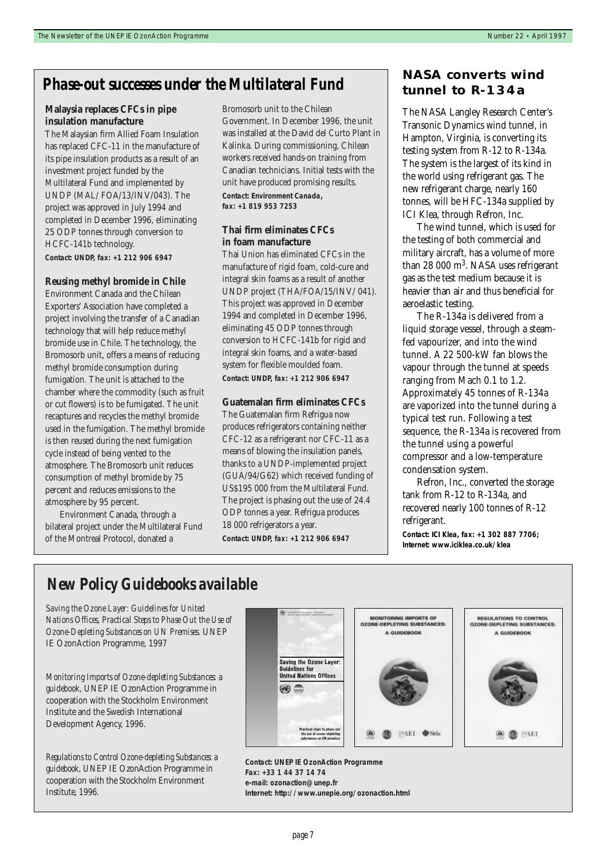# *Phase-out successes under the Multilateral Fund* **NASA converts wind**

#### **Malaysia replaces CFCs in pipe insulation manufacture**

The Malaysian firm Allied Foam Insulation has replaced CFC-11 in the manufacture of its pipe insulation products as a result of an investment project funded by the Multilateral Fund and implemented by UNDP (MAL/ FOA/13/INV/043). The project was approved in July 1994 and completed in December 1996, eliminating 25 ODP tonnes through conversion to HCFC-141b technology. **Contact: UNDP, fax: +1 212 906 6947**

#### **Reusing methyl bromide in Chile**

Environment Canada and the Chilean Exporters' Association have completed a project involving the transfer of a Canadian technology that will help reduce methyl bromide use in Chile. The technology, the Bromosorb unit, offers a means of reducing methyl bromide consumption during fumigation. The unit is attached to the chamber where the commodity (such as fruit or cut flowers) is to be fumigated. The unit recaptures and recycles the methyl bromide used in the fumigation. The methyl bromide is then reused during the next fumigation cycle instead of being vented to the atmosphere. The Bromosorb unit reduces consumption of methyl bromide by 75 percent and reduces emissions to the atmosphere by 95 percent.

Environment Canada, through a bilateral project under the Multilateral Fund of the Montreal Protocol, donated a

Bromosorb unit to the Chilean Government. In December 1996, the unit was installed at the David del Curto Plant in Kalinka. During commissioning, Chilean workers received hands-on training from Canadian technicians. Initial tests with the unit have produced promising results. **Contact: Environment Canada, fax: +1 819 953 7253**

#### **Thai firm eliminates CFCs in foam manufacture**

Thai Union has eliminated CFCs in the manufacture of rigid foam, cold-cure and integral skin foams as a result of another UNDP project (THA/FOA/15/INV/ 041). This project was approved in December 1994 and completed in December 1996, eliminating 45 ODP tonnes through conversion to HCFC-141b for rigid and integral skin foams, and a water-based system for flexible moulded foam. **Contact: UNDP, fax: +1 212 906 6947**

#### **Guatemalan firm eliminates CFCs**

The Guatemalan firm Refrigua now produces refrigerators containing neither CFC-12 as a refrigerant nor CFC-11 as a means of blowing the insulation panels, thanks to a UNDP-implemented project (GUA/94/G62) which received funding of US\$195 000 from the Multilateral Fund. The project is phasing out the use of 24.4 ODP tonnes a year. Refrigua produces 18 000 refrigerators a year. **Contact: UNDP, fax: +1 212 906 6947**

# **tunnel to R-134a**

The NASA Langley Research Center's Transonic Dynamics wind tunnel, in Hampton, Virginia, is converting its testing system from R-12 to R-134a. The system is the largest of its kind in the world using refrigerant gas. The new refrigerant charge, nearly 160 tonnes, will be HFC-134a supplied by ICI Klea, through Refron, Inc.

The wind tunnel, which is used for the testing of both commercial and military aircraft, has a volume of more than 28 000  $m<sup>3</sup>$ . NASA uses refrigerant gas as the test medium because it is heavier than air and thus beneficial for aeroelastic testing.

The R-134a is delivered from a liquid storage vessel, through a steamfed vapourizer, and into the wind tunnel. A 22 500-kW fan blows the vapour through the tunnel at speeds ranging from Mach 0.1 to 1.2. Approximately 45 tonnes of R-134a are vaporized into the tunnel during a typical test run. Following a test sequence, the R-134a is recovered from the tunnel using a powerful compressor and a low-temperature condensation system.

Refron, Inc., converted the storage tank from R-12 to R-134a, and recovered nearly 100 tonnes of R-12 refrigerant.

**Contact: ICI Klea, fax: +1 302 887 7706; Internet: www.iciklea.co.uk/klea**

# *New Policy Guidebooks available*

*Saving the Ozone Layer: Guidelines for United Nations Offices, Practical Steps to Phase Out the Use of Ozone-Depleting Substances on UN Premises.* UNEP IE OzonAction Programme, 1997

*Monitoring Imports of Ozone-depleting Substances: a guidebook,* UNEP IE OzonAction Programme in cooperation with the Stockholm Environment Institute and the Swedish International Development Agency, 1996.

*Regulations to Control Ozone-depleting Substances: a guidebook,* UNEP IE OzonAction Programme in cooperation with the Stockholm Environment Institute, 1996.



**Contact: UNEP IE OzonAction Programme Fax: +33 1 44 37 14 74 e-mail: ozonaction@unep.fr Internet: http://www.unepie.org/ozonaction.html**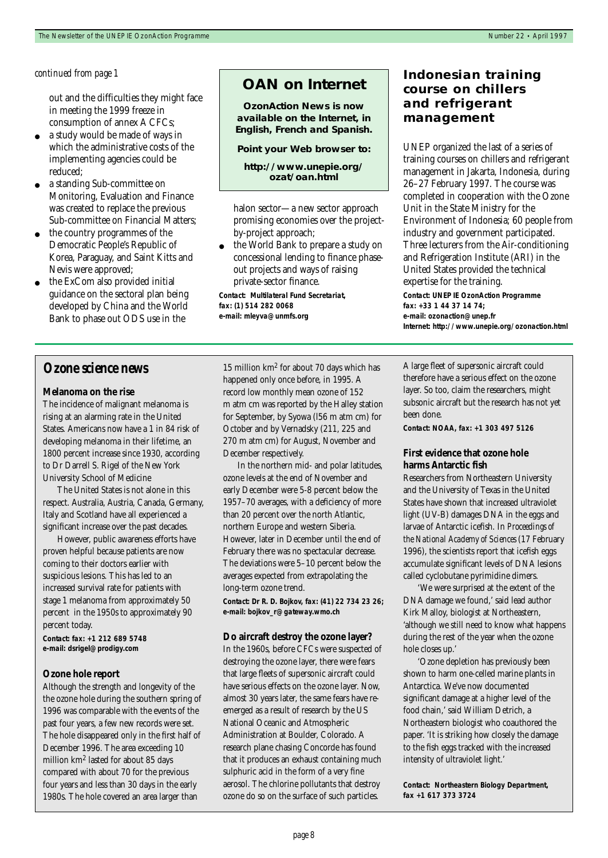out and the difficulties they might face in meeting the 1999 freeze in consumption of annex A CFCs;

- a study would be made of ways in which the administrative costs of the implementing agencies could be reduced;
- a standing Sub-committee on Monitoring, Evaluation and Finance was created to replace the previous Sub-committee on Financial Matters;
- the country programmes of the Democratic People's Republic of Korea, Paraguay, and Saint Kitts and Nevis were approved;
- the ExCom also provided initial guidance on the sectoral plan being developed by China and the World Bank to phase out ODS use in the

### **OAN on Internet**

**OzonAction News is now available on the Internet, in English, French and Spanish.** 

**Point your Web browser to:**

**http://www.unepie.org/ ozat/oan.html**

halon sector—a new sector approach promising economies over the projectby-project approach;

the World Bank to prepare a study on concessional lending to finance phaseout projects and ways of raising private-sector finance.

**Contact: Multilateral Fund Secretariat, fax: (1) 514 282 0068 e-mail: mleyva@unmfs.org**

#### 15 million km2 for about 70 days which has happened only once before, in 1995. A record low monthly mean ozone of 152 m atm cm was reported by the Halley station for September, by Syowa (l56 m atm cm) for October and by Vernadsky (211, 225 and 270 m atm cm) for August, November and December respectively.

In the northern mid- and polar latitudes, ozone levels at the end of November and early December were 5-8 percent below the 1957–70 averages, with a deficiency of more than 20 percent over the north Atlantic, northern Europe and western Siberia. However, later in December until the end of February there was no spectacular decrease. The deviations were 5–10 percent below the averages expected from extrapolating the long-term ozone trend.

**Contact: Dr R. D. Bojkov, fax: (41) 22 734 23 26; e-mail: bojkov\_r@gateway.wmo.ch**

#### **Do aircraft destroy the ozone layer?**

In the 1960s, before CFCs were suspected of destroying the ozone layer, there were fears that large fleets of supersonic aircraft could have serious effects on the ozone layer. Now, almost 30 years later, the same fears have reemerged as a result of research by the US National Oceanic and Atmospheric Administration at Boulder, Colorado. A research plane chasing Concorde has found that it produces an exhaust containing much sulphuric acid in the form of a very fine aerosol. The chlorine pollutants that destroy ozone do so on the surface of such particles.

### *continued from page 1* **Indonesian training course on chillers and refrigerant management**

UNEP organized the last of a series of training courses on chillers and refrigerant management in Jakarta, Indonesia, during 26–27 February 1997. The course was completed in cooperation with the Ozone Unit in the State Ministry for the Environment of Indonesia; 60 people from industry and government participated. Three lecturers from the Air-conditioning and Refrigeration Institute (ARI) in the United States provided the technical expertise for the training.

**Contact: UNEP IE OzonAction Programme fax: +33 1 44 37 14 74; e-mail: ozonaction@unep.fr Internet: http://www.unepie.org/ozonaction.html**

A large fleet of supersonic aircraft could therefore have a serious effect on the ozone layer. So too, claim the researchers, might subsonic aircraft but the research has not yet been done.

**Contact: NOAA, fax: +1 303 497 5126**

#### **First evidence that ozone hole harms Antarctic fish**

Researchers from Northeastern University and the University of Texas in the United States have shown that increased ultraviolet light (UV-B) damages DNA in the eggs and larvae of Antarctic icefish. In *Proceedings of the National Academy of Sciences* (17 February 1996), the scientists report that icefish eggs accumulate significant levels of DNA lesions called cyclobutane pyrimidine dimers.

'We were surprised at the extent of the DNA damage we found,' said lead author Kirk Malloy, biologist at Northeastern, 'although we still need to know what happens during the rest of the year when the ozone hole closes up.'

'Ozone depletion has previously been shown to harm one-celled marine plants in Antarctica. We've now documented significant damage at a higher level of the food chain,' said William Detrich, a Northeastern biologist who coauthored the paper. 'It is striking how closely the damage to the fish eggs tracked with the increased intensity of ultraviolet light.'

**Contact: Northeastern Biology Department, fax +1 617 373 3724**

# *Ozone science news*

## **Melanoma on the rise**

The incidence of malignant melanoma is rising at an alarming rate in the United States. Americans now have a 1 in 84 risk of developing melanoma in their lifetime, an 1800 percent increase since 1930, according to Dr Darrell S. Rigel of the New York University School of Medicine

The United States is not alone in this respect. Australia, Austria, Canada, Germany, Italy and Scotland have all experienced a significant increase over the past decades.

However, public awareness efforts have proven helpful because patients are now coming to their doctors earlier with suspicious lesions. This has led to an increased survival rate for patients with stage 1 melanoma from approximately 50 percent in the 1950s to approximately 90 percent today.

**Contact: fax: +1 212 689 5748 e-mail: dsrigel@prodigy.com**

#### **Ozone hole report**

Although the strength and longevity of the the ozone hole during the southern spring of 1996 was comparable with the events of the past four years, a few new records were set. The hole disappeared only in the first half of December 1996. The area exceeding 10 million km2 lasted for about 85 days compared with about 70 for the previous four years and less than 30 days in the early 1980s. The hole covered an area larger than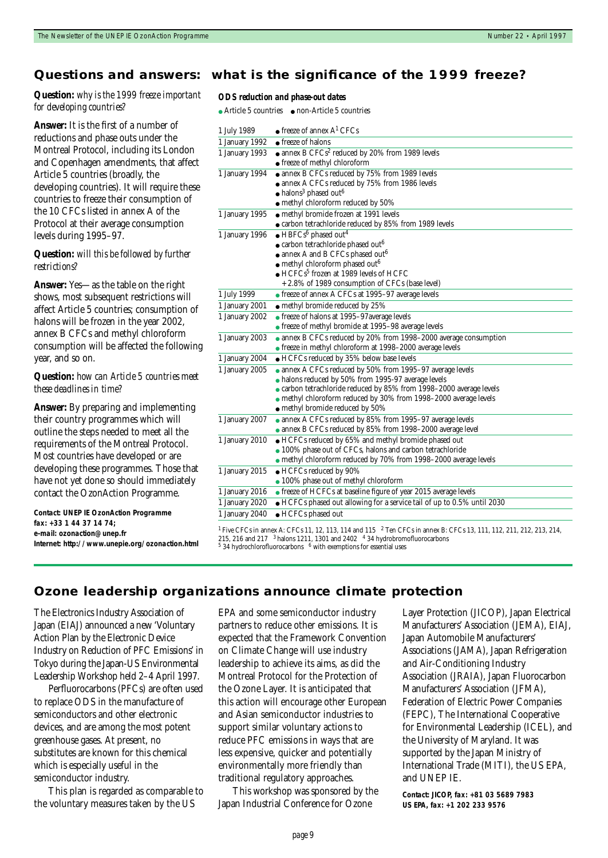#### **Questions and answers: what is the significance of the 1999 freeze?**

#### **Question:** *why is the 1999 freeze important for developing countries?*

**Answer:** It is the first of a number of reductions and phase outs under the Montreal Protocol, including its London and Copenhagen amendments, that affect Article 5 countries (broadly, the developing countries). It will require these countries to freeze their consumption of the 10 CFCs listed in annex A of the Protocol at their average consumption levels during 1995–97.

#### **Question:** *will this be followed by further restrictions?*

**Answer:** Yes—as the table on the right shows, most subsequent restrictions will affect Article 5 countries; consumption of halons will be frozen in the year 2002, annex B CFCs and methyl chloroform consumption will be affected the following year, and so on.

#### **Question:** *how can Article 5 countries meet these deadlines in time?*

**Answer:** By preparing and implementing their country programmes which will outline the steps needed to meet all the requirements of the Montreal Protocol. Most countries have developed or are developing these programmes. Those that have not yet done so should immediately contact the OzonAction Programme.

**Contact: UNEP IE OzonAction Programme fax: +33 1 44 37 14 74; e-mail: ozonaction@unep.fr Internet: http://www.unepie.org/ozonaction.html**

#### *ODS reduction and phase-out dates*

● Article 5 countries ● non-Article 5 countries

| 1 July 1989    | $\bullet$ freeze of annex A <sup>1</sup> CFCs                                                                                 |  |  |  |  |
|----------------|-------------------------------------------------------------------------------------------------------------------------------|--|--|--|--|
| 1 January 1992 | • freeze of halons                                                                                                            |  |  |  |  |
| 1 January 1993 | • annex B CFCs <sup>2</sup> reduced by 20% from 1989 levels                                                                   |  |  |  |  |
|                | • freeze of methyl chloroform                                                                                                 |  |  |  |  |
| 1 January 1994 | • annex B CFCs reduced by 75% from 1989 Ievels                                                                                |  |  |  |  |
|                | • annex A CFCs reduced by 75% from 1986 levels                                                                                |  |  |  |  |
|                | $\bullet$ halons <sup>3</sup> phased out <sup>6</sup>                                                                         |  |  |  |  |
|                | • methyl chloroform reduced by 50%                                                                                            |  |  |  |  |
| 1 January 1995 | • methyl bromide frozen at 1991 levels                                                                                        |  |  |  |  |
|                | • carbon tetrachloride reduced by 85% from 1989 levels                                                                        |  |  |  |  |
| 1 January 1996 | $\bullet$ HBFCs <sup>6</sup> phased out <sup>4</sup>                                                                          |  |  |  |  |
|                | $\bullet$ carbon tetrachloride phased out <sup>6</sup>                                                                        |  |  |  |  |
|                | $\bullet$ annex A and B CFCs phased out <sup>6</sup>                                                                          |  |  |  |  |
|                | • methyl chloroform phased out <sup>6</sup>                                                                                   |  |  |  |  |
|                | $\bullet$ HCFCs <sup>5</sup> frozen at 1989 levels of HCFC                                                                    |  |  |  |  |
|                | + 2.8% of 1989 consumption of CFCs (base level)                                                                               |  |  |  |  |
| 1 July 1999    | • freeze of annex A CFCs at 1995–97 average levels                                                                            |  |  |  |  |
| 1 January 2001 | • methyl bromide reduced by 25%                                                                                               |  |  |  |  |
| 1 January 2002 | • freeze of halons at 1995-97 average levels                                                                                  |  |  |  |  |
|                | • freeze of methyl bromide at 1995–98 average levels                                                                          |  |  |  |  |
| 1 January 2003 | • annex B CFCs reduced by 20% from 1998-2000 average consumption                                                              |  |  |  |  |
|                | • freeze in methyl chloroform at 1998-2000 average levels                                                                     |  |  |  |  |
| 1 January 2004 | • HCFCs reduced by 35% below base Ievels                                                                                      |  |  |  |  |
| 1 January 2005 | • annex A CFCs reduced by 50% from 1995-97 average levels                                                                     |  |  |  |  |
|                | • halons reduced by 50% from 1995-97 average levels                                                                           |  |  |  |  |
|                | • carbon tetrachloride reduced by 85% from 1998–2000 average levels                                                           |  |  |  |  |
|                | • methyl chloroform reduced by 30% from 1998-2000 average levels                                                              |  |  |  |  |
|                | • methyl bromide reduced by 50%                                                                                               |  |  |  |  |
| 1 January 2007 | • annex A CFCs reduced by 85% from 1995-97 average levels<br>• annex B CFCs reduced by 85% from 1998-2000 average level       |  |  |  |  |
| 1 January 2010 | • HCFCs reduced by 65% and methyl bromide phased out                                                                          |  |  |  |  |
|                | • 100% phase out of CFCs, halons and carbon tetrachloride                                                                     |  |  |  |  |
|                | • methyl chloroform reduced by 70% from 1998-2000 average levels                                                              |  |  |  |  |
| 1 January 2015 | • HCFCs reduced by 90%                                                                                                        |  |  |  |  |
|                | • 100% phase out of methyl chloroform                                                                                         |  |  |  |  |
| 1 January 2016 | • freeze of HCFCs at baseline figure of year 2015 average levels                                                              |  |  |  |  |
| 1 January 2020 | • HCFCs phased out allowing for a service tail of up to 0.5% until 2030                                                       |  |  |  |  |
| 1 January 2040 | • HCFCs phased out                                                                                                            |  |  |  |  |
|                |                                                                                                                               |  |  |  |  |
|                | $^{1}$ Five CECs in annoy A: CECs 11, 19, 112, 114 and 115, $^{2}$ Tan CECs in annoy B: CECs 12, 111, 119, 911, 919, 912, 914 |  |  |  |  |

<sup>1</sup> Five CFCs in annex A: CFCs 11, 12, 113, 114 and 115  $^{-2}$  Ten CFCs in annex B: CFCs 13, 111, 112, 211, 212, 213, 214, 215, 216 and 217  $^{-3}$  halons 1211, 1301 and 2402  $^{-4}$  34 hydrobromofluorocarbons  $^5$  34 hydrochlorofluorocarbons  $^{-6}$  with exemptions for essential uses

#### **Ozone leadership organizations announce climate protection**

The Electronics Industry Association of Japan (EIAJ) announced a new 'Voluntary Action Plan by the Electronic Device Industry on Reduction of PFC Emissions' in Tokyo during the Japan-US Environmental Leadership Workshop held 2–4 April 1997.

Perfluorocarbons (PFCs) are often used to replace ODS in the manufacture of semiconductors and other electronic devices, and are among the most potent greenhouse gases. At present, no substitutes are known for this chemical which is especially useful in the semiconductor industry.

This plan is regarded as comparable to the voluntary measures taken by the US

EPA and some semiconductor industry partners to reduce other emissions. It is expected that the Framework Convention on Climate Change will use industry leadership to achieve its aims, as did the Montreal Protocol for the Protection of the Ozone Layer. It is anticipated that this action will encourage other European and Asian semiconductor industries to support similar voluntary actions to reduce PFC emissions in ways that are less expensive, quicker and potentially environmentally more friendly than traditional regulatory approaches.

This workshop was sponsored by the Japan Industrial Conference for Ozone

Layer Protection (JICOP), Japan Electrical Manufacturers' Association (JEMA), EIAJ, Japan Automobile Manufacturers' Associations (JAMA), Japan Refrigeration and Air-Conditioning Industry Association (JRAIA), Japan Fluorocarbon Manufacturers' Association (JFMA), Federation of Electric Power Companies (FEPC), The International Cooperative for Environmental Leadership (ICEL), and the University of Maryland. It was supported by the Japan Ministry of International Trade (MITI), the US EPA, and UNEP IE.

**Contact: JICOP, fax: +81 03 5689 7983 US EPA, fax: +1 202 233 9576**